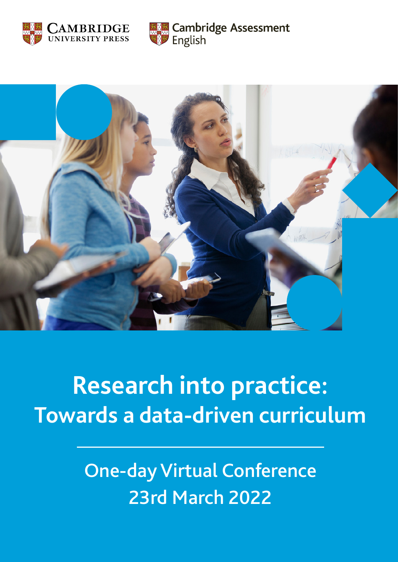



English

**Cambridge Assessment** 

# **Research into practice: Towards a data-driven curriculum**

## 23rd March 2022 One-day Virtual Conference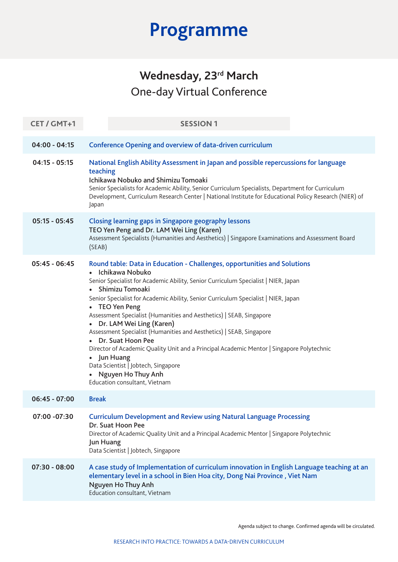| CET / GMT+1     | <b>SESSION1</b>                                                                                                                                                                                                                                                                                                                                                                                                                                                                                                                                                                                                                                                                                                                            |
|-----------------|--------------------------------------------------------------------------------------------------------------------------------------------------------------------------------------------------------------------------------------------------------------------------------------------------------------------------------------------------------------------------------------------------------------------------------------------------------------------------------------------------------------------------------------------------------------------------------------------------------------------------------------------------------------------------------------------------------------------------------------------|
| $04:00 - 04:15$ | Conference Opening and overview of data-driven curriculum                                                                                                                                                                                                                                                                                                                                                                                                                                                                                                                                                                                                                                                                                  |
| $04:15 - 05:15$ | National English Ability Assessment in Japan and possible repercussions for language<br>teaching<br>Ichikawa Nobuko and Shimizu Tomoaki<br>Senior Specialists for Academic Ability, Senior Curriculum Specialists, Department for Curriculum<br>Development, Curriculum Research Center   National Institute for Educational Policy Research (NIER) of<br>Japan                                                                                                                                                                                                                                                                                                                                                                            |
| $05:15 - 05:45$ | <b>Closing learning gaps in Singapore geography lessons</b><br>TEO Yen Peng and Dr. LAM Wei Ling (Karen)<br>Assessment Specialists (Humanities and Aesthetics)   Singapore Examinations and Assessment Board<br>(SEAB)                                                                                                                                                                                                                                                                                                                                                                                                                                                                                                                     |
| $05:45 - 06:45$ | Round table: Data in Education - Challenges, opportunities and Solutions<br>Ichikawa Nobuko<br>$\bullet$<br>Senior Specialist for Academic Ability, Senior Curriculum Specialist   NIER, Japan<br>• Shimizu Tomoaki<br>Senior Specialist for Academic Ability, Senior Curriculum Specialist   NIER, Japan<br>• TEO Yen Peng<br>Assessment Specialist (Humanities and Aesthetics)   SEAB, Singapore<br>• Dr. LAM Wei Ling (Karen)<br>Assessment Specialist (Humanities and Aesthetics)   SEAB, Singapore<br>• Dr. Suat Hoon Pee<br>Director of Academic Quality Unit and a Principal Academic Mentor   Singapore Polytechnic<br>• Jun Huang<br>Data Scientist   Jobtech, Singapore<br>• Nguyen Ho Thuy Anh<br>Education consultant, Vietnam |
| $06:45 - 07:00$ | <b>Break</b>                                                                                                                                                                                                                                                                                                                                                                                                                                                                                                                                                                                                                                                                                                                               |
| 07:00 -07:30    | <b>Curriculum Development and Review using Natural Language Processing</b><br>Dr. Suat Hoon Pee<br>Director of Academic Quality Unit and a Principal Academic Mentor   Singapore Polytechnic<br><b>Jun Huang</b><br>Data Scientist   Jobtech, Singapore                                                                                                                                                                                                                                                                                                                                                                                                                                                                                    |
| $07:30 - 08:00$ | A case study of Implementation of curriculum innovation in English Language teaching at an<br>elementary level in a school in Bien Hoa city, Dong Nai Province, Viet Nam<br>Nguyen Ho Thuy Anh<br>Education consultant, Vietnam                                                                                                                                                                                                                                                                                                                                                                                                                                                                                                            |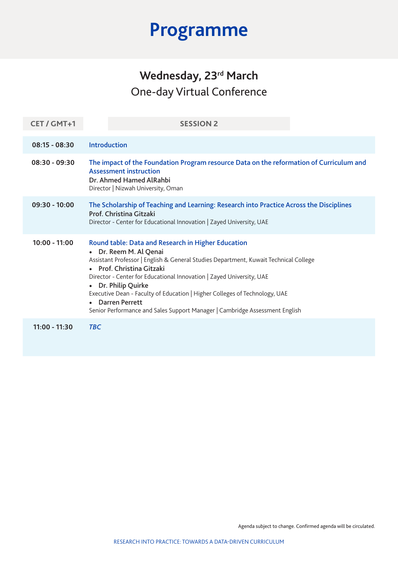| CET / GMT+1     | <b>SESSION 2</b>                                                                                                                                                                                                                                                                                                                                                                                                                                                                           |
|-----------------|--------------------------------------------------------------------------------------------------------------------------------------------------------------------------------------------------------------------------------------------------------------------------------------------------------------------------------------------------------------------------------------------------------------------------------------------------------------------------------------------|
| $08:15 - 08:30$ | <b>Introduction</b>                                                                                                                                                                                                                                                                                                                                                                                                                                                                        |
| $08:30 - 09:30$ | The impact of the Foundation Program resource Data on the reformation of Curriculum and<br><b>Assessment instruction</b><br>Dr. Ahmed Hamed AlRahbi<br>Director   Nizwah University, Oman                                                                                                                                                                                                                                                                                                  |
| $09:30 - 10:00$ | The Scholarship of Teaching and Learning: Research into Practice Across the Disciplines<br>Prof. Christina Gitzaki<br>Director - Center for Educational Innovation   Zayed University, UAE                                                                                                                                                                                                                                                                                                 |
| $10:00 - 11:00$ | Round table: Data and Research in Higher Education<br>Dr. Reem M. Al Qenai<br>Assistant Professor   English & General Studies Department, Kuwait Technical College<br>• Prof. Christina Gitzaki<br>Director - Center for Educational Innovation   Zayed University, UAE<br>Dr. Philip Quirke<br>$\bullet$<br>Executive Dean - Faculty of Education   Higher Colleges of Technology, UAE<br>• Darren Perrett<br>Senior Performance and Sales Support Manager   Cambridge Assessment English |
| $11:00 - 11:30$ | <b>TBC</b>                                                                                                                                                                                                                                                                                                                                                                                                                                                                                 |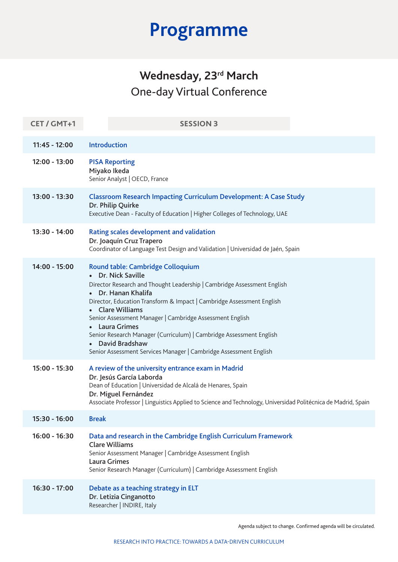| CET / GMT+1     | <b>SESSION 3</b>                                                                                                                                                                                                                                                                                                                                                                                                                                                                                      |
|-----------------|-------------------------------------------------------------------------------------------------------------------------------------------------------------------------------------------------------------------------------------------------------------------------------------------------------------------------------------------------------------------------------------------------------------------------------------------------------------------------------------------------------|
| $11:45 - 12:00$ | Introduction                                                                                                                                                                                                                                                                                                                                                                                                                                                                                          |
| 12:00 - 13:00   | <b>PISA Reporting</b><br>Miyako Ikeda<br>Senior Analyst   OECD, France                                                                                                                                                                                                                                                                                                                                                                                                                                |
| 13:00 - 13:30   | <b>Classroom Research Impacting Curriculum Development: A Case Study</b><br>Dr. Philip Quirke<br>Executive Dean - Faculty of Education   Higher Colleges of Technology, UAE                                                                                                                                                                                                                                                                                                                           |
| 13:30 - 14:00   | Rating scales development and validation<br>Dr. Joaquín Cruz Trapero<br>Coordinator of Language Test Design and Validation   Universidad de Jaén, Spain                                                                                                                                                                                                                                                                                                                                               |
| 14:00 - 15:00   | Round table: Cambridge Colloquium<br>Dr. Nick Saville<br>Director Research and Thought Leadership   Cambridge Assessment English<br>Dr. Hanan Khalifa<br>Director, Education Transform & Impact   Cambridge Assessment English<br>• Clare Williams<br>Senior Assessment Manager   Cambridge Assessment English<br><b>Laura Grimes</b><br>Senior Research Manager (Curriculum)   Cambridge Assessment English<br>• David Bradshaw<br>Senior Assessment Services Manager   Cambridge Assessment English |
| $15:00 - 15:30$ | A review of the university entrance exam in Madrid<br>Dr. Jesús García Laborda<br>Dean of Education   Universidad de Alcalá de Henares, Spain<br>Dr. Miguel Fernández<br>Associate Professor   Linguistics Applied to Science and Technology, Universidad Politécnica de Madrid, Spain                                                                                                                                                                                                                |
| $15:30 - 16:00$ | <b>Break</b>                                                                                                                                                                                                                                                                                                                                                                                                                                                                                          |
| $16:00 - 16:30$ | Data and research in the Cambridge English Curriculum Framework<br><b>Clare Williams</b><br>Senior Assessment Manager   Cambridge Assessment English<br><b>Laura Grimes</b><br>Senior Research Manager (Curriculum)   Cambridge Assessment English                                                                                                                                                                                                                                                    |
| 16:30 - 17:00   | Debate as a teaching strategy in ELT<br>Dr. Letizia Cinganotto<br>Researcher   INDIRE, Italy                                                                                                                                                                                                                                                                                                                                                                                                          |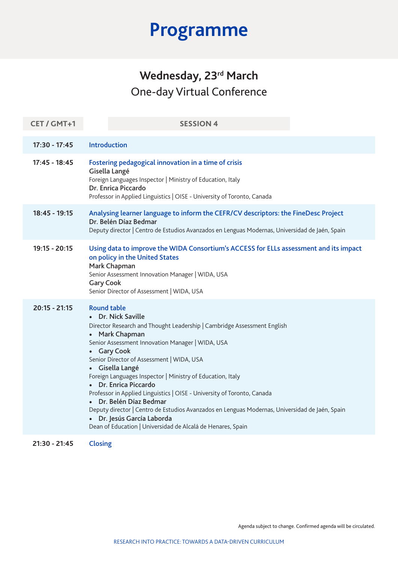| CET / GMT+1     | <b>SESSION 4</b>                                                                                                                                                                                                                                                                                                                                                                                                                                                                                                                                                                                                                                                 |
|-----------------|------------------------------------------------------------------------------------------------------------------------------------------------------------------------------------------------------------------------------------------------------------------------------------------------------------------------------------------------------------------------------------------------------------------------------------------------------------------------------------------------------------------------------------------------------------------------------------------------------------------------------------------------------------------|
| $17:30 - 17:45$ | Introduction                                                                                                                                                                                                                                                                                                                                                                                                                                                                                                                                                                                                                                                     |
| $17:45 - 18:45$ | Fostering pedagogical innovation in a time of crisis<br>Gisella Langé<br>Foreign Languages Inspector   Ministry of Education, Italy<br>Dr. Enrica Piccardo<br>Professor in Applied Linguistics   OISE - University of Toronto, Canada                                                                                                                                                                                                                                                                                                                                                                                                                            |
| 18:45 - 19:15   | Analysing learner language to inform the CEFR/CV descriptors: the FineDesc Project<br>Dr. Belén Díaz Bedmar<br>Deputy director   Centro de Estudios Avanzados en Lenguas Modernas, Universidad de Jaén, Spain                                                                                                                                                                                                                                                                                                                                                                                                                                                    |
| $19:15 - 20:15$ | Using data to improve the WIDA Consortium's ACCESS for ELLs assessment and its impact<br>on policy in the United States<br>Mark Chapman<br>Senior Assessment Innovation Manager   WIDA, USA<br><b>Gary Cook</b><br>Senior Director of Assessment   WIDA, USA                                                                                                                                                                                                                                                                                                                                                                                                     |
| $20:15 - 21:15$ | <b>Round table</b><br>• Dr. Nick Saville<br>Director Research and Thought Leadership   Cambridge Assessment English<br>Mark Chapman<br>Senior Assessment Innovation Manager   WIDA, USA<br>• Gary Cook<br>Senior Director of Assessment   WIDA, USA<br>• Gisella Langé<br>Foreign Languages Inspector   Ministry of Education, Italy<br>• Dr. Enrica Piccardo<br>Professor in Applied Linguistics   OISE - University of Toronto, Canada<br>Dr. Belén Díaz Bedmar<br>Deputy director   Centro de Estudios Avanzados en Lenguas Modernas, Universidad de Jaén, Spain<br>· Dr. Jesús García Laborda<br>Dean of Education   Universidad de Alcalá de Henares, Spain |
| $21:30 - 21:45$ | <b>Closing</b>                                                                                                                                                                                                                                                                                                                                                                                                                                                                                                                                                                                                                                                   |